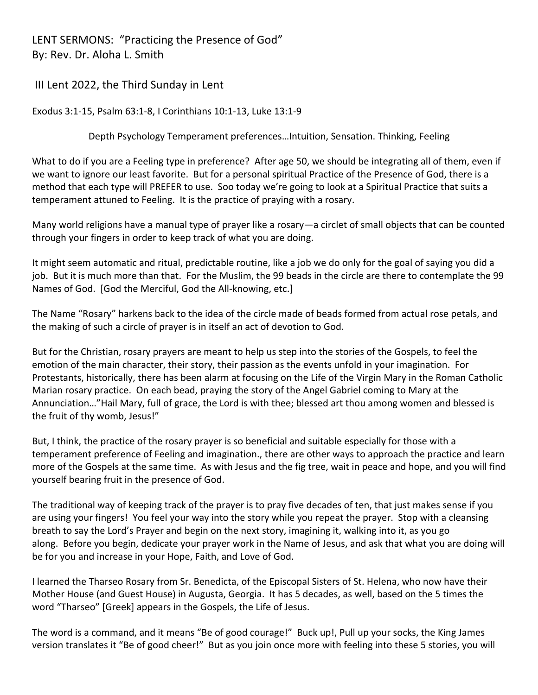LENT SERMONS: "Practicing the Presence of God" By: Rev. Dr. Aloha L. Smith

III Lent 2022, the Third Sunday in Lent

Exodus 3:1-15, Psalm 63:1-8, I Corinthians 10:1-13, Luke 13:1-9

Depth Psychology Temperament preferences…Intuition, Sensation. Thinking, Feeling

What to do if you are a Feeling type in preference? After age 50, we should be integrating all of them, even if we want to ignore our least favorite. But for a personal spiritual Practice of the Presence of God, there is a method that each type will PREFER to use. Soo today we're going to look at a Spiritual Practice that suits a temperament attuned to Feeling. It is the practice of praying with a rosary.

Many world religions have a manual type of prayer like a rosary—a circlet of small objects that can be counted through your fingers in order to keep track of what you are doing.

It might seem automatic and ritual, predictable routine, like a job we do only for the goal of saying you did a job. But it is much more than that. For the Muslim, the 99 beads in the circle are there to contemplate the 99 Names of God. [God the Merciful, God the All-knowing, etc.]

The Name "Rosary" harkens back to the idea of the circle made of beads formed from actual rose petals, and the making of such a circle of prayer is in itself an act of devotion to God.

But for the Christian, rosary prayers are meant to help us step into the stories of the Gospels, to feel the emotion of the main character, their story, their passion as the events unfold in your imagination. For Protestants, historically, there has been alarm at focusing on the Life of the Virgin Mary in the Roman Catholic Marian rosary practice. On each bead, praying the story of the Angel Gabriel coming to Mary at the Annunciation…"Hail Mary, full of grace, the Lord is with thee; blessed art thou among women and blessed is the fruit of thy womb, Jesus!"

But, I think, the practice of the rosary prayer is so beneficial and suitable especially for those with a temperament preference of Feeling and imagination., there are other ways to approach the practice and learn more of the Gospels at the same time. As with Jesus and the fig tree, wait in peace and hope, and you will find yourself bearing fruit in the presence of God.

The traditional way of keeping track of the prayer is to pray five decades of ten, that just makes sense if you are using your fingers! You feel your way into the story while you repeat the prayer. Stop with a cleansing breath to say the Lord's Prayer and begin on the next story, imagining it, walking into it, as you go along. Before you begin, dedicate your prayer work in the Name of Jesus, and ask that what you are doing will be for you and increase in your Hope, Faith, and Love of God.

I learned the Tharseo Rosary from Sr. Benedicta, of the Episcopal Sisters of St. Helena, who now have their Mother House (and Guest House) in Augusta, Georgia. It has 5 decades, as well, based on the 5 times the word "Tharseo" [Greek] appears in the Gospels, the Life of Jesus.

The word is a command, and it means "Be of good courage!" Buck up!, Pull up your socks, the King James version translates it "Be of good cheer!" But as you join once more with feeling into these 5 stories, you will